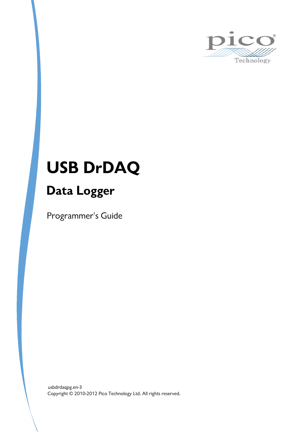

# **USB DrDAQ**

# **Data Logger**

Programmer's Guide

Copyright © 2010-2012 Pico Technology Ltd. All rights reserved. usbdrdaqpg.en-3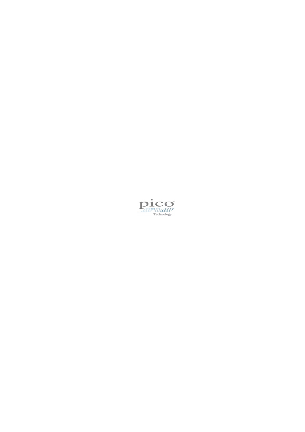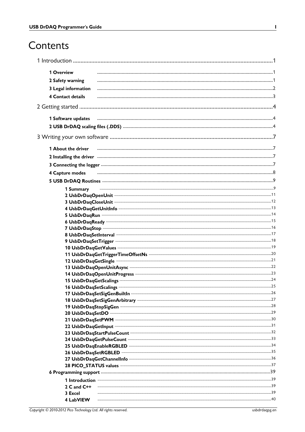# Contents

| 1 Overview               |                                                                                                                |  |
|--------------------------|----------------------------------------------------------------------------------------------------------------|--|
|                          |                                                                                                                |  |
| 2 Safety warning         |                                                                                                                |  |
| 3 Legal information      |                                                                                                                |  |
| 4 Contact details        |                                                                                                                |  |
|                          |                                                                                                                |  |
|                          | 1 Software updates manufacture and an anti-                                                                    |  |
|                          |                                                                                                                |  |
|                          |                                                                                                                |  |
| 1 About the driver       |                                                                                                                |  |
|                          |                                                                                                                |  |
|                          |                                                                                                                |  |
| 4 Capture modes          |                                                                                                                |  |
|                          |                                                                                                                |  |
|                          |                                                                                                                |  |
| 1 Summary                |                                                                                                                |  |
|                          |                                                                                                                |  |
|                          |                                                                                                                |  |
|                          |                                                                                                                |  |
|                          |                                                                                                                |  |
|                          |                                                                                                                |  |
|                          | 8 UsbDrDaqSetInterval members and continuum contract and a state of the state of the state of the state of the |  |
|                          |                                                                                                                |  |
|                          |                                                                                                                |  |
|                          |                                                                                                                |  |
|                          | 12 UsbDrDaqGetSingle manufactured and all the contract of the 21                                               |  |
|                          |                                                                                                                |  |
|                          |                                                                                                                |  |
|                          |                                                                                                                |  |
|                          |                                                                                                                |  |
|                          | 18 UsbDrDaqSetSigGenArbitrary manufactured and content and all all and all all and an article and an analyzing |  |
|                          |                                                                                                                |  |
|                          |                                                                                                                |  |
|                          |                                                                                                                |  |
|                          |                                                                                                                |  |
|                          |                                                                                                                |  |
|                          |                                                                                                                |  |
|                          |                                                                                                                |  |
|                          |                                                                                                                |  |
|                          |                                                                                                                |  |
|                          |                                                                                                                |  |
|                          |                                                                                                                |  |
|                          |                                                                                                                |  |
| 2 C and $C++$<br>3 Excel |                                                                                                                |  |
| 4 LabVIEW                |                                                                                                                |  |
|                          |                                                                                                                |  |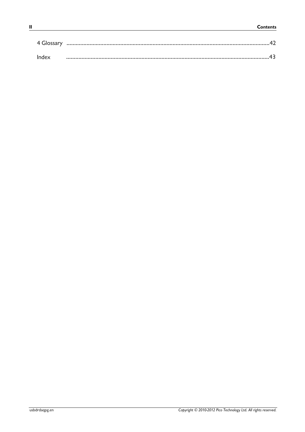| 4 Glossary |  |
|------------|--|
| Index      |  |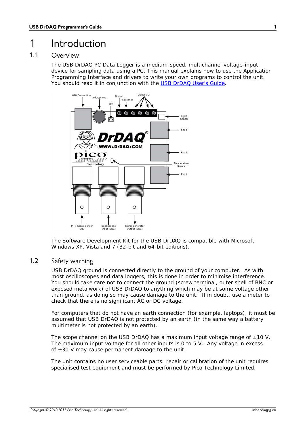# <span id="page-4-0"></span>1 Introduction

### 1.1 Overview

The USB DrDAQ PC Data Logger is a medium-speed, multichannel voltage-input device for sampling data using a PC. This manual explains how to use the Application Programming Interface and drivers to write your own programs to control the unit. You should read it in conjunction with the USB DrDAQ User's Guide.



The Software Development Kit for the USB DrDAQ is compatible with Microsoft Windows XP, Vista and 7 (32-bit and 64-bit editions).

### <span id="page-4-1"></span>1.2 Safety warning

USB DrDAQ ground is connected directly to the ground of your computer. As with most oscilloscopes and data loggers, this is done in order to minimise interference. You should take care not to connect the ground (screw terminal, outer shell of BNC or exposed metalwork) of USB DrDAQ to anything which may be at some voltage other than ground, as doing so may cause damage to the unit. If in doubt, use a meter to check that there is no significant AC or DC voltage.

For computers that do not have an earth connection (for example, laptops), it must be assumed that USB DrDAQ is not protected by an earth (in the same way a battery multimeter is not protected by an earth).

The scope channel on the USB DrDAQ has a maximum input voltage range of  $\pm 10$  V. The maximum input voltage for all other inputs is 0 to 5 V. Any voltage in excess of  $\pm 30$  V may cause permanent damage to the unit.

The unit contains no user serviceable parts: repair or calibration of the unit requires specialised test equipment and must be performed by Pico Technology Limited.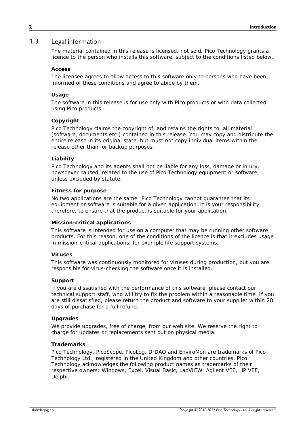#### <span id="page-5-0"></span>1.3 Legal information

The material contained in this release is licensed, not sold. Pico Technology grants a licence to the person who installs this software, subject to the conditions listed below.

#### **Access**

The licensee agrees to allow access to this software only to persons who have been informed of these conditions and agree to abide by them.

#### **Usage**

The software in this release is for use only with Pico products or with data collected using Pico products.

#### **Copyright**

Pico Technology claims the copyright of, and retains the rights to, all material (software, documents etc.) contained in this release. You may copy and distribute the entire release in its original state, but must not copy individual items within the release other than for backup purposes.

#### **Liability**

Pico Technology and its agents shall not be liable for any loss, damage or injury, howsoever caused, related to the use of Pico Technology equipment or software, unless excluded by statute.

#### **Fitness for purpose**

No two applications are the same: Pico Technology cannot guarantee that its equipment or software is suitable for a given application. It is your responsibility, therefore, to ensure that the product is suitable for your application.

#### **Mission-critical applications**

This software is intended for use on a computer that may be running other software products. For this reason, one of the conditions of the licence is that it excludes usage in mission-critical applications, for example life support systems.

#### **Viruses**

This software was continuously monitored for viruses during production, but you are responsible for virus-checking the software once it is installed.

#### **Support**

If you are dissatisfied with the performance of this software, please contact our technical support staff, who will try to fix the problem within a reasonable time. If you are still dissatisfied, please return the product and software to your supplier within 28 days of purchase for a full refund.

#### **Upgrades**

We provide upgrades, free of charge, from our web site. We reserve the right to charge for updates or replacements sent out on physical media.

#### **Trademarks**

Pico Technology, PicoScope, PicoLog, DrDAQ and EnviroMon are trademarks of Pico Technology Ltd., registered in the United Kingdom and other countries. Pico Technology acknowledges the following product names as trademarks of their respective owners: Windows, Excel, Visual Basic, LabVIEW, Agilent VEE, HP VEE, Delphi.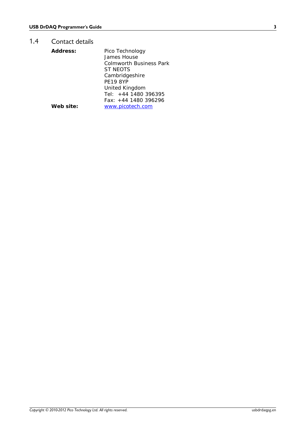### <span id="page-6-0"></span>1.4 Contact details

| Address:  | Pico Technology         |
|-----------|-------------------------|
|           | James House             |
|           | Colmworth Business Park |
|           | ST NEOTS                |
|           | Cambridgeshire          |
|           | <b>PE19 8YP</b>         |
|           | United Kingdom          |
|           | Tel: $+44$ 1480 396395  |
|           | Fax: +44 1480 396296    |
| Web site: | www.picotech.com        |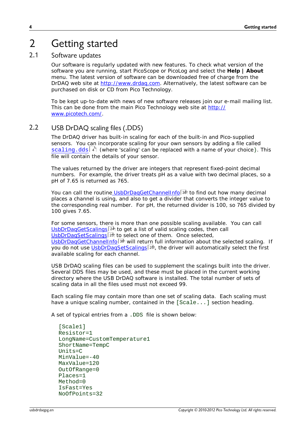# <span id="page-7-0"></span>2 Getting started

### 2.1 Software updates

Our software is regularly updated with new features. To check what version of the software you are running, start PicoScope or PicoLog and select the **Help | About** menu. The latest version of software can be downloaded free of charge from the DrDAQ web site at<http://www.drdaq.com>. Alternatively, the latest software can be purchased on disk or CD from Pico Technology.

To be kept up-to-date with news of new software releases join our e-mail mailing list. This can be done from the main Pico Technology web site at [http://](http://www.picotech.com/) [www.picotech.com/.](http://www.picotech.com/)

### <span id="page-7-1"></span>2.2 USB DrDAQ scaling files (.DDS)

The DrDAQ driver has built-in scaling for each of the built-in and Pico-supplied sensors. You can incorporate scaling for your own sensors by adding a file called [scaling.dds](#page-7-1)<sup>| 4</sup> l (where *'scaling'* can be replaced with a name of your choice). This file will contain the details of your sensor.

The values returned by the driver are integers that represent fixed-point decimal numbers. For example, the driver treats pH as a value with two decimal places, so a pH of 7.65 is returned as 765.

You can call the routine<u>\_[UsbDrDaqGetChannelInfo](#page-39-0)</u> ೫ী to find out how many decimal places a channel is using, and also to get a divider that converts the integer value to the corresponding real number. For pH, the returned divider is 100, so 765 divided by 100 gives 7.65.

For some sensors, there is more than one possible scaling available. You can call <u>[UsbDrDaqGetScalings](#page-27-0)</u> 24 to get a list of valid scaling codes, then call [UsbDrDaqSetScalings](#page-28-0) 25 to select one of them. Once selected, [UsbDrDaqGetChannelInfo](#page-39-0) 36 will return full information about the selected scaling. If you do not use <u>UsbDrDaqSetScalings</u> 2की, the driver will automatically select the first available scaling for each channel.

USB DrDAQ scaling files can be used to supplement the scalings built into the driver. Several DDS files may be used, and these must be placed in the current working directory where the USB DrDAQ software is installed. The total number of sets of scaling data in all the files used must not exceed 99.

Each scaling file may contain more than one set of scaling data. Each scaling must have a unique scaling number, contained in the [Scale...] section heading.

A set of typical entries from a .DDS file is shown below:

```
[Scale1]
Resistor=1
LongName=CustomTemperature1
ShortName=TempC
Units=C
MinValue=-40
MaxValue=120
OutOfRange=0
Places=1
Method=0
IsFast=Yes
NoOfPoints=32
```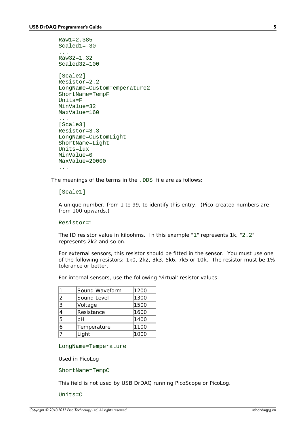```
Raw1=2.385
Scaled1=-30
...
Raw32=1.32
Scaled32=100
[Scale2]
Resistor=2.2
LongName=CustomTemperature2
ShortName=TempF
Units=F
MinValue=32
MaxValue=160
...
[Scale3]
Resistor=3.3
LongName=CustomLight
ShortName=Light
Units=lux
MinValue=0
MaxValue=20000
...
```
The meanings of the terms in the .DDS file are as follows:

[Scale1]

A unique number, from 1 to 99, to identify this entry. (Pico-created numbers are from 100 upwards.)

Resistor=1

The ID resistor value in kiloohms. In this example "1" represents 1k, "2.2" represents 2k2 and so on.

For external sensors, this resistor should be fitted in the sensor. You must use one of the following resistors: 1k0, 2k2, 3k3, 5k6, 7k5 or 10k. The resistor must be 1% tolerance or better.

For internal sensors, use the following 'virtual' resistor values:

|               | Sound Waveform | 1200 |
|---------------|----------------|------|
| $\mathcal{P}$ | Sound Level    | 1300 |
| 3             | Voltage        | 1500 |
| 4             | Resistance     | 1600 |
| 5             | þН             | 1400 |
| 6             | Temperature    | 1100 |
|               | Light          | 1000 |

LongName=Temperature

Used in PicoLog

ShortName=TempC

This field is not used by USB DrDAQ running PicoScope or PicoLog.

Units=C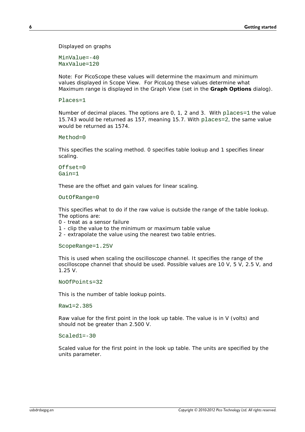Displayed on graphs

MinValue=-40 MaxValue=120

Note: For PicoScope these values will determine the maximum and minimum values displayed in Scope View. For PicoLog these values determine what Maximum range is displayed in the Graph View (set in the **Graph Options** dialog).

```
Places=1
```
Number of decimal places. The options are 0, 1, 2 and 3. With places=1 the value 15.743 would be returned as 157, meaning 15.7. With places=2, the same value would be returned as 1574.

```
Method=0
```
This specifies the scaling method. 0 specifies table lookup and 1 specifies linear scaling.

```
Offset=0Gain=1
```
These are the offset and gain values for linear scaling.

OutOfRange=0

This specifies what to do if the raw value is outside the range of the table lookup. The options are:

0 - treat as a sensor failure

1 - clip the value to the minimum or maximum table value

2 - extrapolate the value using the nearest two table entries.

ScopeRange=1.25V

This is used when scaling the oscilloscope channel. It specifies the range of the oscilloscope channel that should be used. Possible values are 10 V, 5 V, 2.5 V, and 1.25 V.

NoOfPoints=32

This is the number of table lookup points.

Raw1=2.385

Raw value for the first point in the look up table. The value is in V (volts) and should not be greater than 2.500 V.

Scaled1=-30

Scaled value for the first point in the look up table. The units are specified by the units parameter.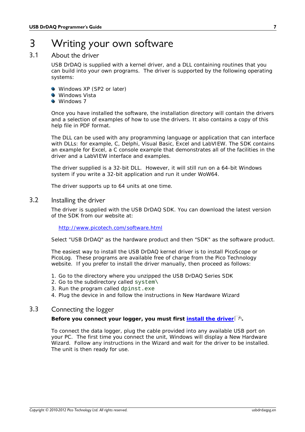# <span id="page-10-0"></span>3 Writing your own software

### 3.1 About the driver

USB DrDAQ is supplied with a kernel driver, and a DLL containing routines that you can build into your own programs. The driver is supported by the following operating systems:

- Windows XP (SP2 or later)
- **Windows Vista**
- **Windows 7**

Once you have installed the software, the installation directory will contain the drivers and a selection of examples of how to use the drivers. It also contains a copy of this help file in PDF format.

The DLL can be used with any programming language or application that can interface with DLLs: for example, C, Delphi, Visual Basic, Excel and LabVIEW. The SDK contains an example for Excel, a C console example that demonstrates all of the facilities in the driver and a LabVIEW interface and examples.

The driver supplied is a 32-bit DLL. However, it will still run on a 64-bit Windows system if you write a 32-bit application and run it under WoW64.

The driver supports up to 64 units at one time.

#### <span id="page-10-1"></span>3.2 Installing the driver

The driver is supplied with the USB DrDAQ SDK. You can download the latest version of the SDK from our website at:

<http://www.picotech.com/software.html>

Select "USB DrDAQ" as the hardware product and then "SDK" as the software product.

The easiest way to install the USB DrDAQ kernel driver is to install PicoScope or PicoLog. These programs are available free of charge from the Pico Technology website. If you prefer to install the driver manually, then proceed as follows: The easiest way to install the USB DrDAQ kernel driver is to install PicoScope or<br>PicoLog. These programs are available free of charge from the Pico Technology<br>website. If you prefer to install the driver manually, then pr The easiest way to install the USB DrDAQ kernel drepticolog. These programs are available free of chare<br>Website. If you prefer to install the driver manually<br>1. Go to the directory where you unzipped the USB<br>2. Go to the s Proclog. These programs are available free of change<br>website. If you prefer to install the driver manual<br>1. Go to the directory where you unzipped the US<br>2. Go to the subdirectory called system\<br>3. Run the program called d

- 1. Go to the directory where you unzipped the USB DrDAQ Series SDK<br>
2. Go to the subdirectory called system\<br>
3. Run the program called dpinst.exe<br>
4. Plug the device in and follow the instructions in New Hardware Wizard
- 
- 
- 

### <span id="page-10-2"></span>3.3 Connecting the logger

**Before you connect your logger, you must first [install the driver](#page-10-1) .** 7

To connect the data logger, plug the cable provided into any available USB port on your PC. The first time you connect the unit, Windows will display a New Hardware Wizard. Follow any instructions in the Wizard and wait for the driver to be installed. The unit is then ready for use.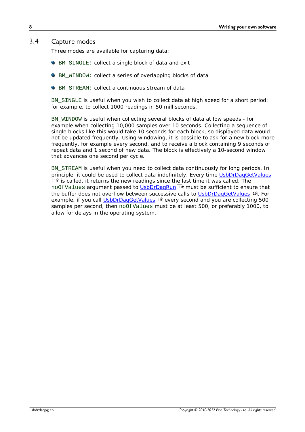#### <span id="page-11-0"></span>3.4 Capture modes

Three modes are available for capturing data:

- BM\_SINGLE: collect a single block of data and exit
- BM\_WINDOW: collect a series of overlapping blocks of data
- **C** BM STREAM: collect a continuous stream of data

BM SINGLE is useful when you wish to collect data at high speed for a short period: for example, to collect 1000 readings in 50 milliseconds.

BM\_WINDOW is useful when collecting several blocks of data at low speeds - for example when collecting 10,000 samples over 10 seconds. Collecting a sequence of single blocks like this would take 10 seconds for each block, so displayed data would not be updated frequently. Using windowing, it is possible to ask for a new block more frequently, for example every second, and to receive a block containing 9 seconds of repeat data and 1 second of new data. The block is effectively a 10-second window that advances one second per cycle.

BM\_STREAM is useful when you need to collect data continuously for long periods. In principle, it could be used to collect data indefinitely. Every time [UsbDrDaqGetValues](#page-22-0)  $1$ § is called, it returns the new readings since the last time it was called. The  $\,$ no0fValues argument passed to <u>UsbDrDaqRun</u>|14 must be sufficient to ensure that the buffer does not overflow between successive calls to <u>UsbDrDaqGetValues</u>। 19ी. For example, if you call <u>[UsbDrDaqGetValues](#page-22-0)I (s)</u> every second and you are collecting 500 samples per second, then noOfValues must be at least 500, or preferably 1000, to allow for delays in the operating system.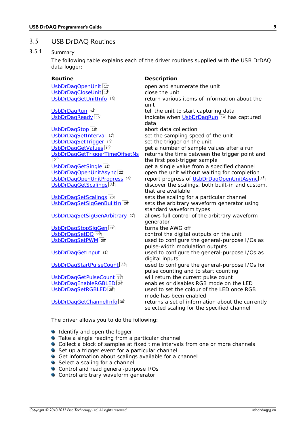### <span id="page-12-0"></span>3.5 USB DrDAQ Routines

#### 3.5.1 Summary

The following table explains each of the driver routines supplied with the USB DrDAQ data logger:

**Routine Description** [UsbDrDaqCloseUnit](#page-15-0) | 12 and the unit close the unit UsbDrDagOpenUnit<sup>11</sup> UsbDrDagGetUnitInfo<sup>13</sup>

 $U$ sbDrDagRun $\sqrt{14}$ 

UsbDrDagStop<sup>16</sup> UsbDrDagSetInterval<sup>17</sup> UsbDrDagSetTrigger<sup>18</sup> UsbDrDagGetValues 19  $\sqrt{21}$ UsbDrDagGetSingle<sup>[21]</sup> UsbDrDagOpenUnitAsync<sup>22</sup> UsbDrDagGetScalings<sup>24</sup>

UsbDrDagSetScalings<sup>25</sup> UsbDrDagSetSigGenBuiltIn<sup>26</sup>

UsbDrDagSetSigGenArbitrary<sup>27</sup>

[UsbDrDaqStopSigGen](#page-31-0) 28 and turns the AWG off UsbDrDagSetDO<sup>29</sup> UsbDrDagSetPWM 30

UsbDrDagGetInput<sup>31</sup>

UsbDrDagStartPulseCount<sup>32</sup>

UsbDrDagGetPulseCount<sup>33</sup> UsbDrDagEnableRGBLED<sup>34</sup> UsbDrDagSetRGBLED<sup>35</sup>

UsbDrDagGetChannelInfo<sup>36</sup>

open and enumerate the unit<br>close the unit return various items of information about the unit [UsbDrDaqRun](#page-17-0) 14<br>UsbDrDaqReady 15<br>
UsbDrDaqReady 15 <u>[UsbDrDaqReady](#page-18-0)</u>l 1ടി indicate when <u>UsbDrDaqRun</u>l 14 has captured data abort data collection set the sampling speed of the unit set the trigger on the unit [UsbDrDaqGetValues](#page-22-0)<sup>[19]</sup> get a number of sample values after a run<br>UsbDrDaqGetTriggerTimeOffsetNs returns the time between the trigger point returns the time between the trigger point and the first post-trigger sample get a single value from a specified channel [UsbDrDaqOpenUnitAsync](#page-25-0)<sup>[22</sup>] open the unit without waiting for completion<br>UsbDrDaqOpenUnitProgress<sup>[23]</sup> report progress of UsbDrDaqOpenUnitAsync <u>[UsbDrDaqOpenUnitProgress](#page-26-0)</u> 23 http://webpress.of <u>[UsbDrDaqOpenUnitAsync](#page-25-0)</u> 22 and discover the scalings, both built-in and custom, that are available sets the scaling for a particular channel sets the arbitrary waveform generator using standard waveform types allows full control of the arbitrary waveform generator<br>turns the AWG off control the digital outputs on the unit used to configure the general-purpose I/Os as pulse-width modulation outputs used to configure the general-purpose I/Os as digital inputs used to configure the general-purpose I/Os for pulse counting and to start counting will return the current pulse count enables or disables RGB mode on the LED used to set the colour of the LED once RGB mode has been enabled returns a set of information about the currently selected scaling for the specified channel

The driver allows you to do the following:

- **Identify and open the logger**
- **•** Take a single reading from a particular channel
- Collect a block of samples at fixed time intervals from one or more channels
- Set up a trigger event for a particular channel
- Get information about scalings available for a channel
- Select a scaling for a channel
- Control and read general-purpose I/Os
- **Control arbitrary waveform generator**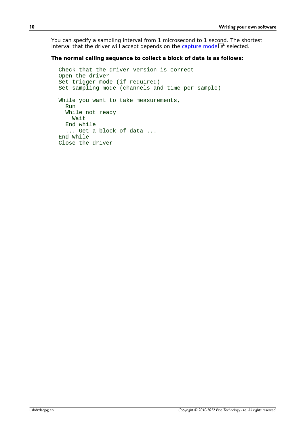You can specify a sampling interval from 1 microsecond to 1 second. The shortest interval that the driver will accept depends on the <u>[capture mode](#page-11-0)</u>l  $\mathbf{s}^\mathfrak{h}$  selected.

**The normal calling sequence to collect a block of data is as follows:**

```
Check that the driver version is correct
Open the driver
Set trigger mode (if required)
Set sampling mode (channels and time per sample)
While you want to take measurements,
   Run
   While not ready
     Wait
   End while
   ... Get a block of data ...
End While
Close the driver
```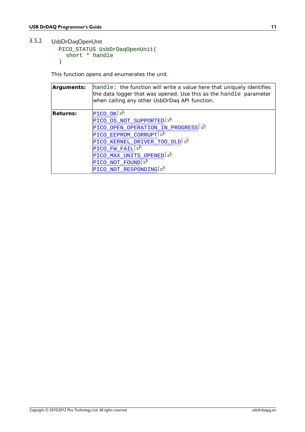#### <span id="page-14-0"></span>3.5.2 UsbDrDaqOpenUnit

```
PICO_STATUS UsbDrDaqOpenUnit(
 short * handle
)
```
This function opens and enumerates the unit.

| Arguments: | $[handle:$ the function will write a value here that uniquely identifies<br>the data logger that was opened. Use this as the handle parameter<br>when calling any other UsbDrDaq API function. |
|------------|------------------------------------------------------------------------------------------------------------------------------------------------------------------------------------------------|
| Returns:   | $ PICO_OK $ 37                                                                                                                                                                                 |
|            | PICO_OS_NOT_SUPPORTED 37                                                                                                                                                                       |
|            | PICO_OPEN_OPERATION_IN_PROGRESS 37                                                                                                                                                             |
|            | PICO_EEPROM_CORRUPT <sup>37</sup>                                                                                                                                                              |
|            | PICO_KERNEL_DRIVER_TOO_OLD 37                                                                                                                                                                  |
|            | $PICO_FW_FAIL$ 37                                                                                                                                                                              |
|            | PICO_MAX_UNITS_OPENED 37                                                                                                                                                                       |
|            | PICO_NOT_FOUND 37                                                                                                                                                                              |
|            | PICO NOT RESPONDING 37                                                                                                                                                                         |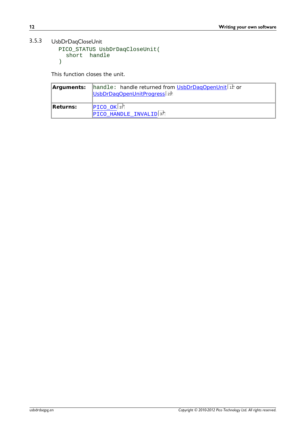### <span id="page-15-0"></span>3.5.3 UsbDrDaqCloseUnit

```
PICO_STATUS UsbDrDaqCloseUnit(
 short handle
)
```
This function closes the unit.

| Arguments: I | handle: handle returned from UsbDrDagOpenUnit <sup>11</sup> or<br>UsbDrDagOpenUnitProgress <sub>23</sub> |
|--------------|----------------------------------------------------------------------------------------------------------|
| Returns:     | PICO OK 37                                                                                               |
|              | PICO HANDLE INVALID <sup>37</sup>                                                                        |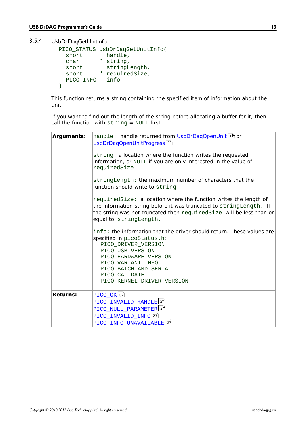<span id="page-16-0"></span>3.5.4 UsbDrDaqGetUnitInfo

```
PICO_STATUS UsbDrDaqGetUnitInfo(
 short handle, 
 char * string, 
 short stringLength,
 short * requiredSize,
 PICO_INFO info
)
```
This function returns a string containing the specified item of information about the unit.

If you want to find out the length of the string before allocating a buffer for it, then call the function with string = NULL first.

| Arguments: | handle: handle returned from UsbDrDagOpenUnit <sup> 1</sup> ft or<br>UsbDrDagOpenUnitProgress <sub>23</sub>                                                                                                                                                          |  |
|------------|----------------------------------------------------------------------------------------------------------------------------------------------------------------------------------------------------------------------------------------------------------------------|--|
|            | string: a location where the function writes the requested<br>information, or NULL if you are only interested in the value of<br>requiredSize                                                                                                                        |  |
|            | stringLength: the maximum number of characters that the<br>function should write to string                                                                                                                                                                           |  |
|            | requiredSize: a location where the function writes the length of<br>the information string before it was truncated to stringLength. If<br>the string was not truncated then required Size will be less than or<br>equal to stringLength.                             |  |
|            | info: the information that the driver should return. These values are<br>specified in picoStatus.h:<br>PICO DRIVER VERSION<br>PICO USB VERSION<br>PICO_HARDWARE_VERSION<br>PICO VARIANT INFO<br>PICO_BATCH_AND_SERIAL<br>PICO_CAL_DATE<br>PICO_KERNEL_DRIVER_VERSION |  |
| Returns:   | $PICO_OK 37$<br>PICO_INVALID_HANDLE <sup>37</sup><br>PICO NULL PARAMETER 37<br>PICO INVALID INFO 37<br>PICO INFO UNAVAILABLE <sup>37</sup>                                                                                                                           |  |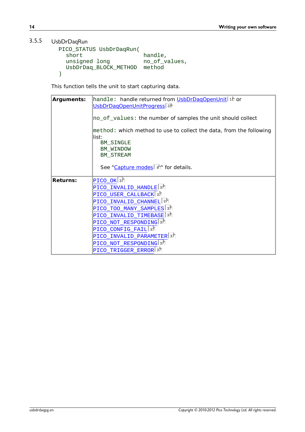#### <span id="page-17-0"></span>3.5.5 UsbDrDaqRun

```
PICO_STATUS UsbDrDaqRun(
                         handle,<br>no_of_values,
  unsigned long
  UsbDrDaq_BLOCK_METHOD method
)
```
This function tells the unit to start capturing data.

| Arguments: | handle: handle returned from UsbDrDagOpenUnit <sup> 1</sup> ft or<br>UsbDrDagOpenUnitProgress 23                                       |
|------------|----------------------------------------------------------------------------------------------------------------------------------------|
|            | no_of_values: the number of samples the unit should collect                                                                            |
|            | $[method: which method to use to collect the data, from the following]$<br>llist:<br><b>BM SINGLE</b><br>BM WINDOW<br><b>BM_STREAM</b> |
|            | See "Capture modes $8^{\circ}$ " for details.                                                                                          |
| Returns:   | $\text{PICO\_OK}$ 37                                                                                                                   |
|            | PICO INVALID HANDLE <sup>37</sup>                                                                                                      |
|            | PICO_USER_CALLBACK 37                                                                                                                  |
|            | PICO_INVALID_CHANNEL 37                                                                                                                |
|            | PICO TOO MANY SAMPLES 37                                                                                                               |
|            | PICO_INVALID_TIMEBASE 37                                                                                                               |
|            | PICO NOT RESPONDING <sup>37</sup>                                                                                                      |
|            | PICO_CONFIG_FAIL 37                                                                                                                    |
|            | PICO_INVALID_PARAMETER 37                                                                                                              |
|            | PICO NOT RESPONDING 37                                                                                                                 |
|            | PICO_TRIGGER_ERROR 37                                                                                                                  |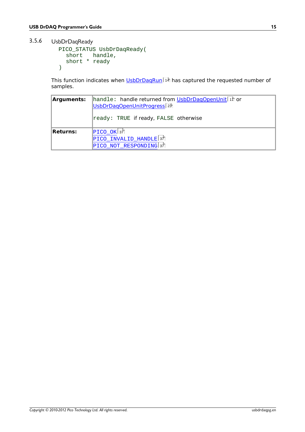<span id="page-18-0"></span>3.5.6 UsbDrDaqReady

```
PICO_STATUS UsbDrDaqReady(
  short handle, 
  short * ready
)
```
This function indicates when [UsbDrDaqRun](#page-17-0)|14 has captured the requested number of samples.

| Arguments: | handle: handle returned from UsbDrDaqOpenUnit 11 or<br>UsbDrDagOpenUnitProgress <sup>[23]</sup><br>ready: TRUE if ready, FALSE otherwise |
|------------|------------------------------------------------------------------------------------------------------------------------------------------|
| Returns:   | $ PICO_OK $ 37<br>$\text{PICO\_INVALID\_HANDLE}$ 37<br>PICO NOT RESPONDING 37                                                            |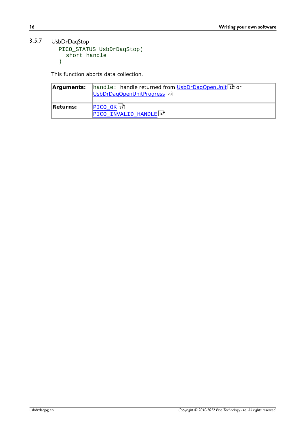### <span id="page-19-0"></span>3.5.7 UsbDrDaqStop

```
PICO_STATUS UsbDrDaqStop(
  short handle
)
```
This function aborts data collection.

| Arguments: | handle: handle returned from UsbDrDagOpenUnit <sup>11</sup> or<br>UsbDrDagOpenUnitProgress <sub>23</sub> |
|------------|----------------------------------------------------------------------------------------------------------|
| Returns:   | $ PICO_OK $ 37<br>$PICO$ INVALID_HANDLE $37$                                                             |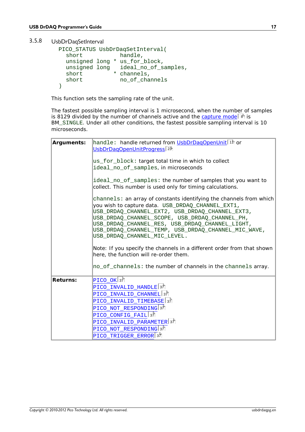<span id="page-20-0"></span>3.5.8 UsbDrDaqSetInterval

```
PICO_STATUS UsbDrDaqSetInterval(
 short handle,
 unsigned long * us_for_block,
 unsigned long ideal_no_of_samples,
 short * channels,
 short no_of_channels
)
```
This function sets the sampling rate of the unit.

The fastest possible sampling interval is 1 microsecond, when the number of samples is 8129 divided by the number of channels active and the <u>capture mode</u> | 8 is BM\_SINGLE. Under all other conditions, the fastest possible sampling interval is 10 microseconds.

| Arguments: | handle: handle returned from UsbDrDaqOpenUnit <sup>[11</sup> ] or<br>UsbDrDagOpenUnitProgress <sub>23</sub>                                                                                                                                                                                                                                                             |
|------------|-------------------------------------------------------------------------------------------------------------------------------------------------------------------------------------------------------------------------------------------------------------------------------------------------------------------------------------------------------------------------|
|            | us_for_block: target total time in which to collect                                                                                                                                                                                                                                                                                                                     |
|            | ideal_no_of_samples, in microseconds                                                                                                                                                                                                                                                                                                                                    |
|            | ideal_no_of_samples: the number of samples that you want to<br>collect. This number is used only for timing calculations.                                                                                                                                                                                                                                               |
|            | channels: an array of constants identifying the channels from which<br>you wish to capture data. USB_DRDAQ_CHANNEL_EXT1,<br>USB DRDAQ CHANNEL EXT2, USB DRDAQ CHANNEL EXT3,<br>USB_DRDAQ_CHANNEL_SCOPE, USB_DRDAQ_CHANNEL_PH,<br>USB_DRDAQ_CHANNEL_RES, USB_DRDAQ_CHANNEL_LIGHT,<br>USB_DRDAQ_CHANNEL_TEMP, USB_DRDAQ_CHANNEL_MIC_WAVE,<br>USB_DRDAQ_CHANNEL_MIC_LEVEL. |
|            | Note: If you specify the channels in a different order from that shown<br>here, the function will re-order them.<br>no_of_channels: the number of channels in the channels array.                                                                                                                                                                                       |
| Returns:   | $\tt PICO_OK $ 37 $\tt $<br>PICO INVALID HANDLE <sup>37</sup><br>PICO_INVALID_CHANNEL 37<br>PICO_INVALID TIMEBASE 37<br>PICO NOT RESPONDING <sup>37</sup><br>PICO_CONFIG_FAIL 37<br>PICO_INVALID_PARAMETER 37<br>PICO NOT RESPONDING 37                                                                                                                                 |
|            | PICO TRIGGER ERROR 37                                                                                                                                                                                                                                                                                                                                                   |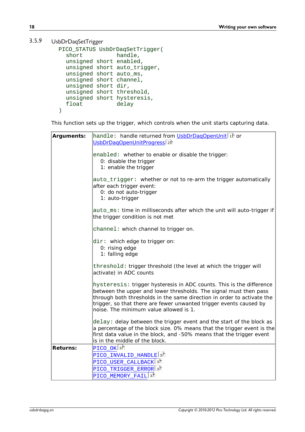#### <span id="page-21-0"></span>3.5.9 UsbDrDaqSetTrigger

```
PICO_STATUS UsbDrDaqSetTrigger(<br>short handle,
                  handle,
  unsigned short enabled, 
  unsigned short auto trigger,
  unsigned short auto_ms, 
  unsigned short channel, 
  unsigned short dir, 
  unsigned short threshold, 
  unsigned short hysteresis,<br>float delay
                   delay
)
```
This function sets up the trigger, which controls when the unit starts capturing data.

| Arguments: | handle: handle returned from UsbDrDagOpenUnit 11 or<br>UsbDrDaqOpenUnitProgress <sup>23</sup>                                                                                                                                                                                                                                       |
|------------|-------------------------------------------------------------------------------------------------------------------------------------------------------------------------------------------------------------------------------------------------------------------------------------------------------------------------------------|
|            | enabled: whether to enable or disable the trigger:<br>0: disable the trigger<br>1: enable the trigger                                                                                                                                                                                                                               |
|            | auto_trigger: whether or not to re-arm the trigger automatically<br>after each trigger event:<br>0: do not auto-trigger<br>1: auto-trigger                                                                                                                                                                                          |
|            | auto_ms: time in milliseconds after which the unit will auto-trigger if<br>the trigger condition is not met                                                                                                                                                                                                                         |
|            | channel: which channel to trigger on.                                                                                                                                                                                                                                                                                               |
|            | $\text{dir}:$ which edge to trigger on:<br>0: rising edge<br>1: falling edge                                                                                                                                                                                                                                                        |
|            | threshold: trigger threshold (the level at which the trigger will<br>activate) in ADC counts                                                                                                                                                                                                                                        |
|            | hysteresis: trigger hysteresis in ADC counts. This is the difference<br>between the upper and lower thresholds. The signal must then pass<br>through both thresholds in the same direction in order to activate the<br>trigger, so that there are fewer unwanted trigger events caused by<br>noise. The minimum value allowed is 1. |
|            | delay: delay between the trigger event and the start of the block as<br>a percentage of the block size. 0% means that the trigger event is the<br>first data value in the block, and -50% means that the trigger event<br>is in the middle of the block.                                                                            |
| Returns:   | PICO OK $37$                                                                                                                                                                                                                                                                                                                        |
|            | PICO_INVALID_HANDLE 37<br>PICO_USER_CALLBACK 37                                                                                                                                                                                                                                                                                     |
|            | PICO_TRIGGER_ERROR 3키                                                                                                                                                                                                                                                                                                               |
|            | PICO_MEMORY_FAIL 3기                                                                                                                                                                                                                                                                                                                 |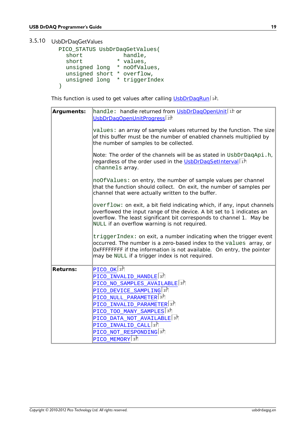### <span id="page-22-0"></span>3.5.10 UsbDrDaqGetValues

| PICO_STATUS UsbDrDaqGetValues( |           |  |
|--------------------------------|-----------|--|
| short                          | handle,   |  |
| short                          | * values, |  |
| unsigned long * noOfValues,    |           |  |
| unsigned short * overflow,     |           |  |
| unsigned long * triggerIndex   |           |  |
|                                |           |  |

This function is used to get values after calling <u>UsbDrDaqRun</u>| 14ì.

| Arguments: | handle: handle returned from UsbDrDaqOpenUnit <sup>[11</sup> ] or<br>UsbDrDagOpenUnitProgress <sup>23</sup>                                                                                                                                                              |
|------------|--------------------------------------------------------------------------------------------------------------------------------------------------------------------------------------------------------------------------------------------------------------------------|
|            | values: an array of sample values returned by the function. The size<br>of this buffer must be the number of enabled channels multiplied by<br>the number of samples to be collected.                                                                                    |
|            | Note: The order of the channels will be as stated in UsbDrDaqApi.h,<br>regardless of the order used in the UsbDrDaqSetInterval 17<br>channels array.                                                                                                                     |
|            | $\text{noOfValues: on entry, the number of sample values per channel}$<br>that the function should collect. On exit, the number of samples per<br>channel that were actually written to the buffer.                                                                      |
|            | overflow: on exit, a bit field indicating which, if any, input channels<br>overflowed the input range of the device. A bit set to 1 indicates an<br>overflow. The least significant bit corresponds to channel 1. May be<br>NULL if an overflow warning is not required. |
|            | triggerIndex: on exit, a number indicating when the trigger event<br>occurred. The number is a zero-based index to the values array, or<br>OxFFFFFFFF if the information is not available. On entry, the pointer<br>may be NULL if a trigger index is not required.      |
| Returns:   | $PICO_OK$ 37                                                                                                                                                                                                                                                             |
|            | $\rm{PICO\_INVALID\_HANDLE 37}$                                                                                                                                                                                                                                          |
|            | PICO_NO_SAMPLES_AVAILABLE <sup> 37</sup>                                                                                                                                                                                                                                 |
|            | PICO_DEVICE_SAMPLING 37                                                                                                                                                                                                                                                  |
|            | PICO_NULL_PARAMETER <sup>37</sup>                                                                                                                                                                                                                                        |
|            |                                                                                                                                                                                                                                                                          |
|            | PICO_INVALID_PARAMETER 37                                                                                                                                                                                                                                                |
|            | PICO TOO MANY SAMPLES 37                                                                                                                                                                                                                                                 |
|            | PICO DATA NOT AVAILABLE 37                                                                                                                                                                                                                                               |
|            | PICO_INVALID_CALL 37<br>PICO NOT RESPONDING <sup>37</sup>                                                                                                                                                                                                                |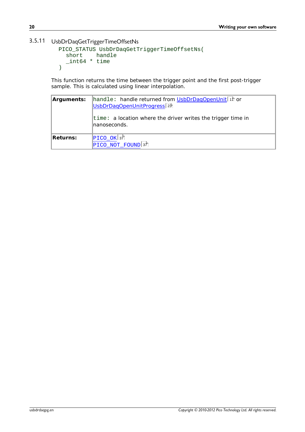#### <span id="page-23-0"></span>3.5.11 UsbDrDaqGetTriggerTimeOffsetNs

```
PICO_STATUS UsbDrDaqGetTriggerTimeOffsetNs(
         handle
 _int64 * time
)
```
This function returns the time between the trigger point and the first post-trigger sample. This is calculated using linear interpolation.

| Arguments: | handle: handle returned from UsbDrDaqOpenUnit <sup> 1</sup> th or<br>UsbDrDagOpenUnitProgress <sup>[23]</sup> |
|------------|---------------------------------------------------------------------------------------------------------------|
|            | $\tt time: a location where the driver writes the trigger time in$<br>Inanoseconds.                           |
| Returns:   | $\left  \text{PICO\_OK} \right $ 37<br>PICO NOT FOUND 37                                                      |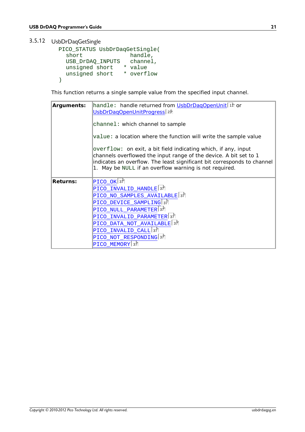### <span id="page-24-0"></span>3.5.12 UsbDrDaqGetSingle

```
PICO_STATUS UsbDrDaqGetSingle(
                    handle,<br>channel,
  USB_DrDAQ_INPUTS
  unsigned short * value
  unsigned short * overflow
)
```
This function returns a single sample value from the specified input channel.

| Arguments: | handle: handle returned from UsbDrDaqOpenUnit <sup>[11]</sup> or<br>UsbDrDagOpenUnitProgress 23                                                                                                                                                                          |
|------------|--------------------------------------------------------------------------------------------------------------------------------------------------------------------------------------------------------------------------------------------------------------------------|
|            | channel: which channel to sample                                                                                                                                                                                                                                         |
|            | value: a location where the function will write the sample value                                                                                                                                                                                                         |
|            | overflow: on exit, a bit field indicating which, if any, input<br>channels overflowed the input range of the device. A bit set to 1<br>indicates an overflow. The least significant bit corresponds to channel<br>1. May be NULL if an overflow warning is not required. |
| Returns:   | $PICO_OK$ 37                                                                                                                                                                                                                                                             |
|            | PICO_INVALID_HANDLE <sup>37</sup>                                                                                                                                                                                                                                        |
|            | PICO_NO_SAMPLES_AVAILABLE 37                                                                                                                                                                                                                                             |
|            | PICO_DEVICE_SAMPLING 37                                                                                                                                                                                                                                                  |
|            | PICO NULL PARAMETER 37                                                                                                                                                                                                                                                   |
|            | PICO_INVALID_PARAMETER 37                                                                                                                                                                                                                                                |
|            | PICO_DATA_NOT_AVAILABLE <sup>137</sup>                                                                                                                                                                                                                                   |
|            | PICO_INVALID_CALL 37                                                                                                                                                                                                                                                     |
|            | PICO NOT RESPONDING <sup>37</sup>                                                                                                                                                                                                                                        |
|            | PICO_MEMORY 37                                                                                                                                                                                                                                                           |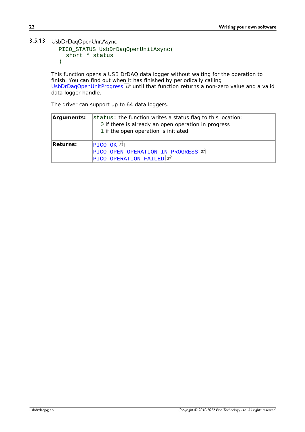### <span id="page-25-0"></span>3.5.13 UsbDrDaqOpenUnitAsync

```
PICO_STATUS UsbDrDaqOpenUnitAsync(
  short * status
)
```
This function opens a USB DrDAQ data logger without waiting for the operation to finish. You can find out when it has finished by periodically calling <u>[UsbDrDaqOpenUnitProgress](#page-26-0)</u> 23 until that function returns a non-zero value and a valid data logger handle.

The driver can support up to 64 data loggers.

| Arguments: | $\vert$ status: the function writes a status flag to this location:<br>0 if there is already an open operation in progress<br>1 if the open operation is initiated |
|------------|--------------------------------------------------------------------------------------------------------------------------------------------------------------------|
| Returns:   | $ PICO_OK $ 37<br>PICO_OPEN_OPERATION_IN_PROGRESS 37                                                                                                               |
|            | PICO_OPERATION_FAILED 37                                                                                                                                           |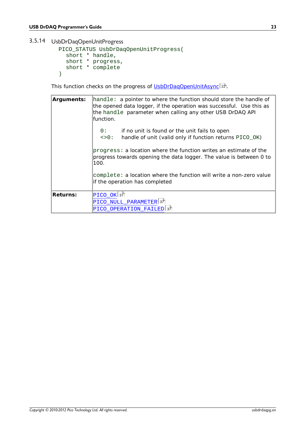### <span id="page-26-0"></span>3.5.14 UsbDrDaqOpenUnitProgress

```
PICO_STATUS UsbDrDaqOpenUnitProgress(
 short * handle, 
  short * progress, 
  short * complete
)
```
This function checks on the progress of <u>UsbDrDaqOpenUnitAsync</u> . 2<sup>5</sup>.

| Arguments: | handle: a pointer to where the function should store the handle of<br>the opened data logger, if the operation was successful. Use this as<br>the handle parameter when calling any other USB DrDAQ API<br>lfunction. |
|------------|-----------------------------------------------------------------------------------------------------------------------------------------------------------------------------------------------------------------------|
|            | 0:<br>if no unit is found or the unit fails to open<br>$\left\{0: \right.$<br>handle of unit (valid only if function returns PICO_OK)                                                                                 |
|            | $progress: a location where the function writes an estimate of the$<br>progress towards opening the data logger. The value is between 0 to<br>100.                                                                    |
|            | complete: a location where the function will write a non-zero value<br>if the operation has completed                                                                                                                 |
| Returns:   | $ PICO_OK $ 37<br>PICO_NULL_PARAMETER 37<br>PICO OPERATION_FAILED 37                                                                                                                                                  |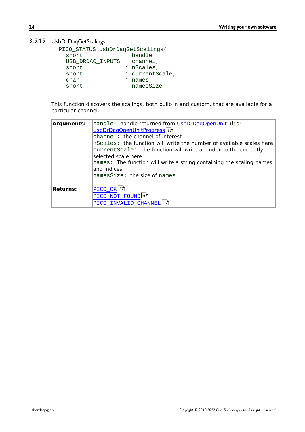### <span id="page-27-0"></span>3.5.15 UsbDrDaqGetScalings

| bDrDaqGetScalings                |   |               |
|----------------------------------|---|---------------|
| PICO_STATUS UsbDrDaqGetScalings( |   |               |
| short                            |   | handle        |
| USB DRDAO INPUTS                 |   | channel,      |
| short                            |   | * nScales,    |
| short                            | * | currentScale, |
| char                             | * | names,        |
| short                            |   | namesSize     |
|                                  |   |               |

This function discovers the scalings, both built-in and custom, that are available for a particular channel.

| Arguments: | handle: handle returned from UsbDrDaqOpenUnit 11 or<br>UsbDrDagOpenUnitProgress <sub>23</sub><br>channel: the channel of interest<br>InScales: the function will write the number of available scales here<br>currentScale: The function will write an index to the currently<br>selected scale here<br>names: The function will write a string containing the scaling names<br>land indices |  |
|------------|----------------------------------------------------------------------------------------------------------------------------------------------------------------------------------------------------------------------------------------------------------------------------------------------------------------------------------------------------------------------------------------------|--|
|            | ${\tt lnamesSize:}$ the size of ${\tt names}$                                                                                                                                                                                                                                                                                                                                                |  |
| Returns:   | $\rm{PICO\_OK}$ 37                                                                                                                                                                                                                                                                                                                                                                           |  |
|            | PICO_NOT_FOUND 37                                                                                                                                                                                                                                                                                                                                                                            |  |
|            | PICO INVALID CHANNEL <sup>37</sup>                                                                                                                                                                                                                                                                                                                                                           |  |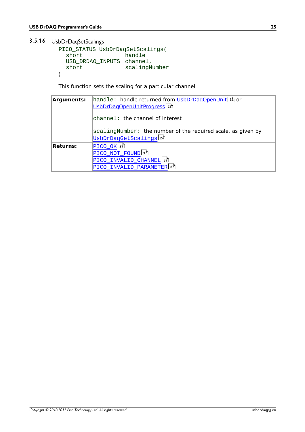<span id="page-28-0"></span>3.5.16 UsbDrDaqSetScalings

```
PICO_STATUS UsbDrDaqSetScalings(
 short handle
 USB_DRDAQ_INPUTS channel, 
 short scalingNumber
)
```
This function sets the scaling for a particular channel.

| Arguments: | handle: handle returned from UsbDrDaqOpenUnit 1 ft or<br>UsbDrDagOpenUnitProgress <sup>23</sup>   |  |
|------------|---------------------------------------------------------------------------------------------------|--|
|            | channe]: the channel of interest                                                                  |  |
|            | scalingNumber: the number of the required scale, as given by<br>UsbDrDaqGetScalings <sup>24</sup> |  |
| Returns:   | $PICO_OK 37$<br>$\rm{ PICO_NOT_FOUND 37}$<br>PICO_INVALID_CHANNEL 37                              |  |
|            | PICO INVALID PARAMETER 37                                                                         |  |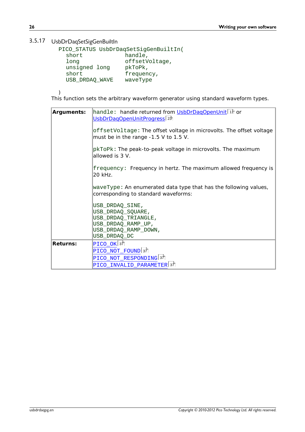#### <span id="page-29-0"></span>3.5.17 UsbDrDaqSetSigGenBuiltIn

| bDrDaqSetSigGenBuiltIn |                                       |
|------------------------|---------------------------------------|
|                        | PICO_STATUS UsbDrDaqSetSigGenBuiltIn( |
| short                  | handle,                               |
| long                   | offsetVoltage,                        |
| unsigned long          | pkToPk,                               |
| short                  | frequency,                            |
| USB DRDAO WAVE         | waveType                              |
|                        |                                       |
|                        |                                       |

)

This function sets the arbitrary waveform generator using standard waveform types.

| Arguments: | handle: handle returned from UsbDrDagOpenUnit <sup>1</sup><br>UsbDrDagOpenUnitProgress 23<br>offsetVoltage: The offset voltage in microvolts. The offset voltage<br>must be in the range $-1.5$ V to 1.5 V. |  |
|------------|-------------------------------------------------------------------------------------------------------------------------------------------------------------------------------------------------------------|--|
|            | pkToPk: The peak-to-peak voltage in microvolts. The maximum<br>allowed is 3 V.                                                                                                                              |  |
|            | frequency: Frequency in hertz. The maximum allowed frequency is<br>20 kHz.                                                                                                                                  |  |
|            | waveType: An enumerated data type that has the following values,<br>corresponding to standard waveforms:                                                                                                    |  |
|            | USB_DRDAQ_SINE,<br>USB_DRDAQ_SQUARE,<br>USB_DRDAQ_TRIANGLE,<br>USB_DRDAQ_RAMP_UP,                                                                                                                           |  |
|            | USB_DRDAQ_RAMP_DOWN,<br>USB_DRDAQ_DC                                                                                                                                                                        |  |
| Returns:   | $PICO$ OK $37$<br>PICO_NOT_FOUND 37<br>PICO_NOT_RESPONDING 37                                                                                                                                               |  |
|            | PICO_INVALID_PARAMETER 37                                                                                                                                                                                   |  |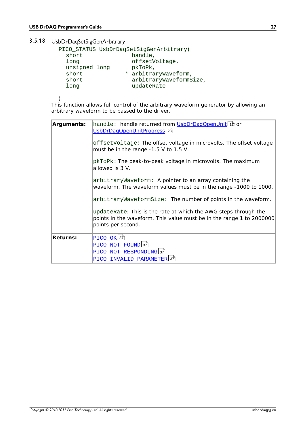### <span id="page-30-0"></span>3.5.18 UsbDrDaqSetSigGenArbitrary

| PICO_STATUS UsbDrDaqSetSigGenArbitrary(<br>handle,<br>short<br>offsetVoltage,<br>long<br>unsigned long<br>pkToPk,<br>* arbitraryWaveform,<br>short<br>arbitraryWaveformSize,<br>short<br>updateRate<br>long | bDrDaqSetSigGenArbitrary |  |
|-------------------------------------------------------------------------------------------------------------------------------------------------------------------------------------------------------------|--------------------------|--|
|                                                                                                                                                                                                             |                          |  |
|                                                                                                                                                                                                             |                          |  |

)

This function allows full control of the arbitrary waveform generator by allowing an arbitrary waveform to be passed to the driver.

| Arguments: | handle: handle returned from UsbDrDagOpenUnit <sup> 1</sup> th or<br><u>UsbDrDaqOpenUnitProgress</u> 23                                                       |
|------------|---------------------------------------------------------------------------------------------------------------------------------------------------------------|
|            | offsetVoltage: The offset voltage in microvolts. The offset voltage<br>must be in the range $-1.5$ V to 1.5 V.                                                |
|            | pkToPk: The peak-to-peak voltage in microvolts. The maximum<br>allowed is 3 V.                                                                                |
|            | arbitraryWaveform: A pointer to an array containing the<br>waveform. The waveform values must be in the range -1000 to 1000.                                  |
|            | $arbitraryWaveformsize:$ The number of points in the waveform.                                                                                                |
|            | updateRate: This is the rate at which the AWG steps through the<br>points in the waveform. This value must be in the range 1 to 2000000<br>points per second. |
| Returns:   | $\rm{PICO\_OK}$ 37                                                                                                                                            |
|            | PICO_NOT_FOUND 37                                                                                                                                             |
|            | PICO_NOT_RESPONDING 37                                                                                                                                        |
|            | PICO_INVALID_PARAMETER 37                                                                                                                                     |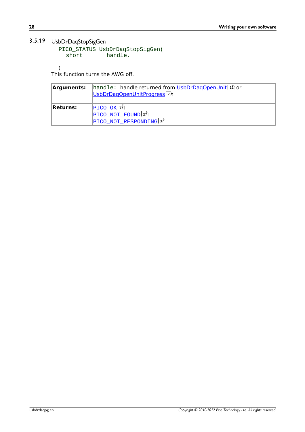### <span id="page-31-0"></span>3.5.19 UsbDrDaqStopSigGen

```
PICO_STATUS UsbDrDaqStopSigGen(
   rDaqStopSigGen<br>CO_STATUS UsbDrDaqStopSigGer<br>short           handle,
```
)

This function turns the AWG off.

| Arguments: I | handle: handle returned from UsbDrDaqOpenUnit <sup>11</sup> or<br>UsbDrDagOpenUnitProgress <sup>[23]</sup> |
|--------------|------------------------------------------------------------------------------------------------------------|
| Returns:     | $\left  \text{PICO\_OK} \right $ 37                                                                        |
|              | PICO_NOT_FOUND 37                                                                                          |
|              | PICO NOT RESPONDING 37                                                                                     |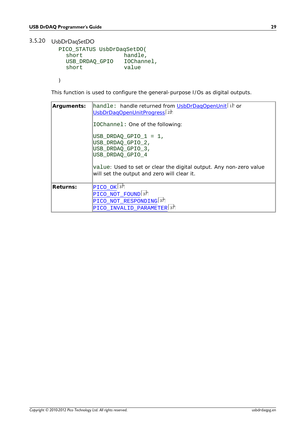### <span id="page-32-0"></span>3.5.20 UsbDrDaqSetDO

```
PICO_STATUS UsbDrDaqSetDO(
                 handle,<br>IOChannel,
  USB_DRDAQ_GPIO IOChannel,
 short value
```
)

This function is used to configure the general-purpose I/Os as digital outputs.

| Arguments: | handle: handle returned from UsbDrDagOpenUnit <sup> 1</sup> ft or<br>UsbDrDagOpenUnitProgress 23<br>IOChannel: One of the following:<br>$\texttt{USB\_DRDAQ\_GPIO\_1 = 1}$<br>USB_DRDAQ_GPIO_2,<br>USB_DRDAQ_GPIO_3,<br>USB DRDAO GPIO 4<br>value: Used to set or clear the digital output. Any non-zero value<br>will set the output and zero will clear it. |
|------------|---------------------------------------------------------------------------------------------------------------------------------------------------------------------------------------------------------------------------------------------------------------------------------------------------------------------------------------------------------------|
| Returns:   | $\left  \text{PICO\_OK} \right $ 37<br>PICO_NOT_FOUND 37<br>PICO_NOT_RESPONDING 37<br>PICO INVALID PARAMETER 37                                                                                                                                                                                                                                               |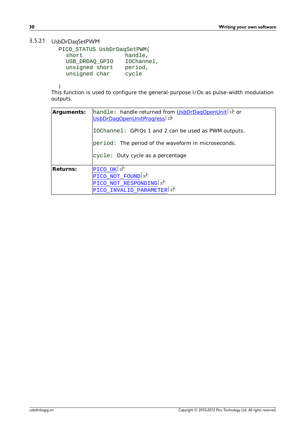### <span id="page-33-0"></span>3.5.21 UsbDrDaqSetPWM

```
PICO_STATUS UsbDrDaqSetPWM(
     short handle,<br>USB_DRDAQ_GPIO IOChannel,
      rDaqSetPWM<br>
CO_STATUS UsbDrDaqSetPWM(<br>
short handle,<br>
USB_DRDAQ_GPIO IOChannel,<br>
unsigned short period,<br>
unsigned char sycle
      rDaqSetPWM<br>CO_STATUS UsbDrDaqSetPWM(<br>short handle,<br>USB_DRDAQ_GPIO IOChannel,<br>unsigned short period,<br>unsigned char cycle
      rDaqSetPWM<br>CO_STATUS UsbDrDaqSetPWM(<br>short handle,<br>USB_DRDAQ_GPIO IOChannel,<br>unsigned short period,<br>unsigned char cycle
```
)

This function is used to configure the general-purpose I/Os as pulse-width modulation outputs.

| Arguments: | handle: handle returned from UsbDrDaqOpenUnit in or<br>UsbDrDagOpenUnitProgress <sup>23</sup> |
|------------|-----------------------------------------------------------------------------------------------|
|            | IOChannel: GPIOs 1 and 2 can be used as PWM outputs.                                          |
|            | $\beta$ period: The period of the waveform in microseconds.                                   |
|            | cycle: Duty cycle as a percentage                                                             |
| Returns:   | $ {\tt PICO\_OK} $ 37                                                                         |
|            | $PICO_NOT_FOUND 37$                                                                           |
|            | PICO_NOT_RESPONDING 37                                                                        |
|            | PICO_INVALID_PARAMETER 37                                                                     |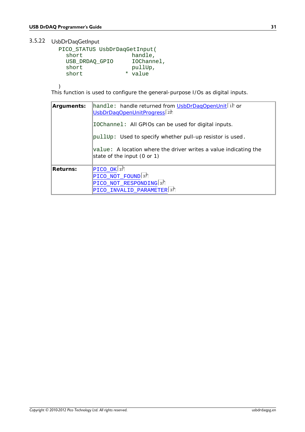### <span id="page-34-0"></span>3.5.22 UsbDrDaqGetInput

```
PICO_STATUS UsbDrDaqGetInput(
  short handle,<br>USB_DRDAQ_GPIO IOChannel,
   grammers dude<br>
CO_STATUS UsbDrDaqGetInput(<br>
Short handle,<br>
USB_DRDAQ_GPIO IOChannel,<br>
short pullUp,<br>
short * value
  short pullUp,
  short * value
```
)

This function is used to configure the general-purpose I/Os as digital inputs.

| Arguments: | handle: handle returned from UsbDrDagOpenUnit <sup> 1</sup> th or<br>UsbDrDagOpenUnitProgress <sup>23</sup> |
|------------|-------------------------------------------------------------------------------------------------------------|
|            | IOChannel: All GPIOs can be used for digital inputs.                                                        |
|            | pullUp: Used to specify whether pull-up resistor is used.                                                   |
|            | value: A location where the driver writes a value indicating the<br>state of the input (0 or 1)             |
| Returns:   | $ {\tt PICO\_OK} $ 37                                                                                       |
|            | $\rm{PICO\_NOT\_FOUND}$ 37                                                                                  |
|            | PICO_NOT_RESPONDING 37                                                                                      |
|            | PICO_INVALID_PARAMETER <sup>37</sup>                                                                        |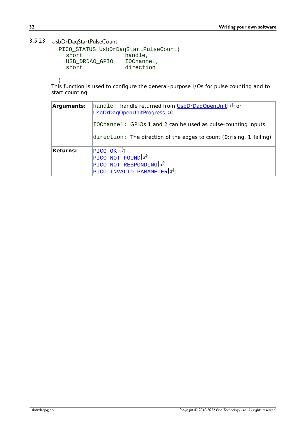### <span id="page-35-0"></span>3.5.23 UsbDrDaqStartPulseCount

```
PICO_STATUS UsbDrDaqStartPulseCount(
    short handle,<br>USB_DRDAQ_GPIO IOChannel,
     \begin{tabular}{l} \bf \textit{p} \textit{DaqStartPulseCount} \\ \textit{CO\_STATUS UsbDrDaqStartPulseCount} \\ \textit{short} & handle, \\ \textit{USB\_DRDAQ_GPIO} & IoChannel, \\ \textit{short} & direction \end{tabular}short \overline{a} direction
```
)

This function is used to configure the general-purpose I/Os for pulse counting and to start counting.

| Arguments:                 | handle: handle returned from UsbDrDaqOpenUnit <sup>11</sup> or<br>UsbDrDagOpenUnitProgress <sup>23</sup> |  |
|----------------------------|----------------------------------------------------------------------------------------------------------|--|
|                            | IOChannel: GPIOs 1 and 2 can be used as pulse-counting inputs.                                           |  |
|                            | direction: The direction of the edges to count (0: rising, 1: falling)                                   |  |
| Returns:                   | $PICO_OK 37$                                                                                             |  |
| $\rm{PICO\_NOT\_FOUND}$ 37 |                                                                                                          |  |
|                            | PICO_NOT_RESPONDING 37                                                                                   |  |
|                            | PICO INVALID PARAMETER 37                                                                                |  |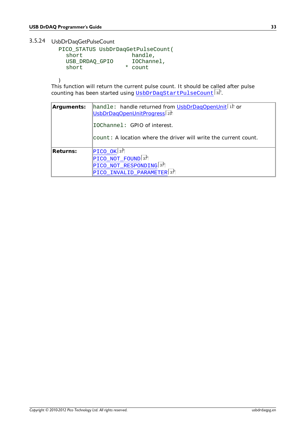### <span id="page-36-0"></span>3.5.24 UsbDrDaqGetPulseCount

| r rogrammer s Guiue                         |   |                     |  |
|---------------------------------------------|---|---------------------|--|
|                                             |   |                     |  |
| bDrDaqGetPulseCount                         |   |                     |  |
| PICO_STATUS UsbDrDaqGetPulseCount(<br>short |   | handle,             |  |
| USB DRDAO GPIO<br>short                     | * | IOChannel,<br>count |  |
|                                             |   |                     |  |

)

This function will return the current pulse count. It should be called after pulse counting has been started using [UsbDrDaqStartPulseCount](#page-35-0)|32].

| Arguments: | handle: handle returned from UsbDrDagOpenUnit <sup> </sup> 1h or<br>UsbDrDagOpenUnitProgress <sub>23</sub> |
|------------|------------------------------------------------------------------------------------------------------------|
|            | IOChannel: GPIO of interest.                                                                               |
|            | count: A location where the driver will write the current count.                                           |
| Returns:   | $ PICO_OK $ 37                                                                                             |
|            | $\rm{PICO\_NOT\_FOUND}$ 37                                                                                 |
|            | PICO_NOT_RESPONDING 37                                                                                     |
|            | PICO INVALID PARAMETER 37                                                                                  |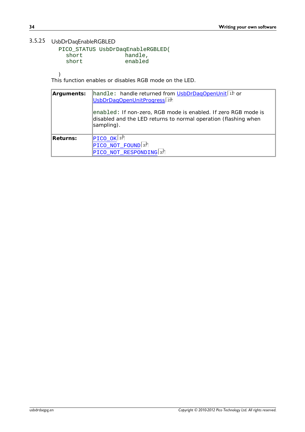### <span id="page-37-0"></span>3.5.25 UsbDrDaqEnableRGBLED

|       | PICO_STATUS UsbDrDaqEnableRGBLED( |  |
|-------|-----------------------------------|--|
| short | handle,                           |  |
| short | enabled                           |  |

)

This function enables or disables RGB mode on the LED.

| Arguments: | handle: handle returned from UsbDrDaqOpenUnit <sup>11</sup> or<br>UsbDrDagOpenUnitProgress <sup>23</sup>                                        |
|------------|-------------------------------------------------------------------------------------------------------------------------------------------------|
|            | enabled: If non-zero, RGB mode is enabled. If zero RGB mode is<br>disabled and the LED returns to normal operation (flashing when<br>sampling). |
| Returns:   | $ PICO_OK $ 37                                                                                                                                  |
|            | $PICO_NOT_FOUND 37$                                                                                                                             |
|            | PICO NOT RESPONDING 37                                                                                                                          |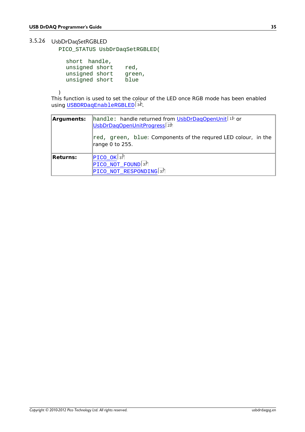### <span id="page-38-0"></span>3.5.26 UsbDrDaqSetRGBLED

PICO\_STATUS UsbDrDaqSetRGBLED(

| grammer s Guide                                                     |                        |
|---------------------------------------------------------------------|------------------------|
|                                                                     |                        |
| rDaqSetRGBLED                                                       |                        |
| CO_STATUS UsbDrDaqSetRGBLED(                                        |                        |
| short handle,<br>unsigned short<br>unsigned short<br>unsigned short | red,<br>green,<br>blue |

)

This function is used to set the colour of the LED once RGB mode has been enabled using [USBDRDaqEnableRGBLED](#page-37-0)| 34].

| Arguments: | handle: handle returned from UsbDrDagOpenUnit <sup>11</sup> or<br>UsbDrDaqOpenUnitProgress <sup>[23]</sup><br>red, green, blue: Components of the requred LED colour, in the<br>range 0 to 255. |
|------------|-------------------------------------------------------------------------------------------------------------------------------------------------------------------------------------------------|
| Returns:   | $\left  \text{PICO\_OK} \right $ 37<br>PICO_NOT_FOUND 37<br>PICO_NOT_RESPONDING 37                                                                                                              |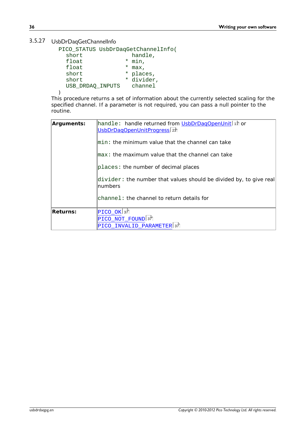### <span id="page-39-0"></span>3.5.27 UsbDrDaqGetChannelInfo

| PICO_STATUS UsbDrDaqGetChannelInfo( |   |                                                          |
|-------------------------------------|---|----------------------------------------------------------|
| short                               |   | handle,                                                  |
| float                               |   | * min.                                                   |
| float                               | * | max,                                                     |
| short                               |   | * places,                                                |
| short                               |   | * divider,                                               |
| USB DRDAO INPUTS                    |   | channel                                                  |
|                                     |   |                                                          |
|                                     |   | c procodure returns a set of information about the curry |

This procedure returns a set of information about the currently selected scaling for the specified channel. If a parameter is not required, you can pass a null pointer to the routine.

| Arguments: | handle: handle returned from UsbDrDagOpenUnit 1<br>UsbDrDagOpenUnitProgress <sub>23</sub> |
|------------|-------------------------------------------------------------------------------------------|
|            | $\mathsf{lmin}\colon$ the minimum value that the channel can take                         |
|            | $\mathsf{Imax}:$ the maximum value that the channel can take                              |
|            | places: the number of decimal places                                                      |
|            | divider: the number that values should be divided by, to give real<br>Inumbers            |
|            | channel: the channel to return details for                                                |
| Returns:   | $\rm{PICO\_OK}$ 37                                                                        |
|            | PICO_NOT_FOUND 37                                                                         |
|            | PICO INVALID PARAMETER 37                                                                 |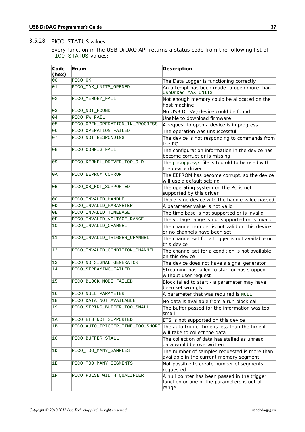### <span id="page-40-0"></span>3.5.28 PICO\_STATUS values

Every function in the USB DrDAQ API returns a status code from the following list of PICO\_STATUS values:

| Code<br>(hex)  | Enum                             | Description                                                                                           |
|----------------|----------------------------------|-------------------------------------------------------------------------------------------------------|
| 0 <sub>0</sub> | PICO_OK                          | The Data Logger is functioning correctly                                                              |
| 01             | PICO_MAX_UNITS_OPENED            | An attempt has been made to open more than<br>UsbDrDaq_MAX_UNITS                                      |
| 02             | PICO_MEMORY_FAIL                 | Not enough memory could be allocated on the<br>host machine                                           |
| 03             | PICO_NOT_FOUND                   | No USB DrDAQ device could be found                                                                    |
| 04             | PICO_FW_FAIL                     | Unable to download firmware                                                                           |
| 05             | PICO_OPEN_OPERATION_IN_PROGRESS  | A request to open a device is in progress                                                             |
| 06             | PICO_OPERATION_FAILED            | The operation was unsuccessful                                                                        |
| 07             | PICO NOT RESPONDING              | The device is not responding to commands from<br>the PC                                               |
| 08             | PICO_CONFIG_FAIL                 | The configuration information in the device has<br>become corrupt or is missing                       |
| 09             | PICO_KERNEL_DRIVER_TOO_OLD       | The picopp.sys file is too old to be used with<br>the device driver                                   |
| 0A             | PICO_EEPROM_CORRUPT              | The EEPROM has become corrupt, so the device<br>will use a default setting                            |
| 0B             | PICO OS NOT SUPPORTED            | The operating system on the PC is not<br>supported by this driver                                     |
| 0 <sup>C</sup> | PICO INVALID HANDLE              | There is no device with the handle value passed                                                       |
| 0 <sub>D</sub> | PICO_INVALID_PARAMETER           | A parameter value is not valid                                                                        |
| 0E             | PICO_INVALID_TIMEBASE            | The time base is not supported or is invalid                                                          |
| 0F             | PICO_INVALID_VOLTAGE_RANGE       | The voltage range is not supported or is invalid                                                      |
| 10             | PICO_INVALID_CHANNEL             | The channel number is not valid on this device<br>or no channels have been set                        |
| 11             | PICO_INVALID_TRIGGER_CHANNEL     | The channel set for a trigger is not available on<br>this device                                      |
| 12             | PICO_INVALID_CONDITION_CHANNEL   | The channel set for a condition is not available<br>on this device                                    |
| 13             | PICO_NO_SIGNAL_GENERATOR         | The device does not have a signal generator                                                           |
| 14             | PICO_STREAMING_FAILED            | Streaming has failed to start or has stopped<br>without user request                                  |
| 15             | PICO BLOCK MODE FAILED           | Block failed to start - a parameter may have<br>been set wrongly                                      |
| 16             | PICO NULL PARAMETER              | A parameter that was required is NULL                                                                 |
| 18             | PICO_DATA_NOT_AVAILABLE          | No data is available from a run block call                                                            |
| 19             | PICO_STRING_BUFFER_TOO_SMALL     | The buffer passed for the information was too<br>small                                                |
| 1A             | PICO_ETS_NOT_SUPPORTED           | ETS is not supported on this device                                                                   |
| 1B             | PICO AUTO TRIGGER TIME TOO SHORT | The auto trigger time is less than the time it<br>will take to collect the data                       |
| 1 <sup>c</sup> | PICO_BUFFER_STALL                | The collection of data has stalled as unread<br>data would be overwritten                             |
| 1D             | PICO_TOO_MANY_SAMPLES            | The number of samples requested is more than<br>available in the current memory segment               |
| 1E             | PICO TOO MANY SEGMENTS           | Not possible to create number of segments<br>requested                                                |
| 1F             | PICO_PULSE_WIDTH_QUALIFIER       | A null pointer has been passed in the trigger<br>function or one of the parameters is out of<br>range |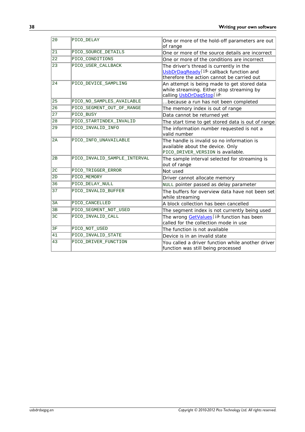| 20             | PICO DELAY                   | One or more of the hold-off parameters are out<br>of range                                                                                 |
|----------------|------------------------------|--------------------------------------------------------------------------------------------------------------------------------------------|
| 21             | PICO SOURCE DETAILS          | One or more of the source details are incorrect                                                                                            |
| 22             | PICO CONDITIONS              | One or more of the conditions are incorrect                                                                                                |
| 23             | PICO USER CALLBACK           | The driver's thread is currently in the<br>UsbDrDaqReady <sup>15</sup> callback function and<br>therefore the action cannot be carried out |
| 24             | PICO DEVICE SAMPLING         | An attempt is being made to get stored data<br>while streaming. Either stop streaming by<br>calling UsbDrDagStop <sup>16</sup> ।           |
| 25             | PICO NO SAMPLES AVAILABLE    | because a run has not been completed                                                                                                       |
| 26             | PICO SEGMENT OUT OF RANGE    | The memory index is out of range                                                                                                           |
| 27             | PICO BUSY                    | Data cannot be returned yet                                                                                                                |
| 28             | PICO_STARTINDEX_INVALID      | The start time to get stored data is out of range                                                                                          |
| 29             | PICO INVALID INFO            | The information number requested is not a<br>valid number                                                                                  |
| 2A             | PICO INFO UNAVAILABLE        | The handle is invalid so no information is<br>available about the device. Only<br>PICO_DRIVER_VERSION is available.                        |
| 2B             | PICO INVALID SAMPLE INTERVAL | The sample interval selected for streaming is<br>out of range                                                                              |
| 2 <sub>C</sub> | PICO TRIGGER ERROR           | Not used                                                                                                                                   |
| 2D             | PICO MEMORY                  | Driver cannot allocate memory                                                                                                              |
| 36             | PICO DELAY NULL              | NULL pointer passed as delay parameter                                                                                                     |
| 37             | PICO_INVALID_BUFFER          | The buffers for overview data have not been set<br>while streaming                                                                         |
| 3A             | PICO_CANCELLED               | A block collection has been cancelled                                                                                                      |
| 3B             | PICO_SEGMENT_NOT_USED        | The segment index is not currently being used                                                                                              |
| 3 <sup>C</sup> | PICO INVALID CALL            | The wrong GetValues 19 function has been<br>called for the collection mode in use                                                          |
| 3F             | PICO NOT USED                | The function is not available                                                                                                              |
| 41             | PICO_INVALID_STATE           | Device is in an invalid state                                                                                                              |
| 43             | PICO DRIVER FUNCTION         | You called a driver function while another driver<br>function was still being processed                                                    |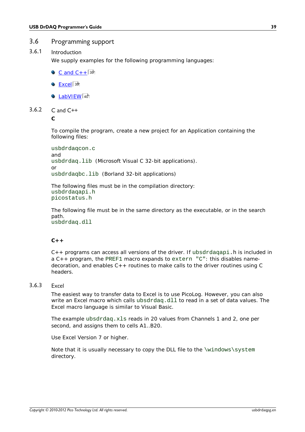### <span id="page-42-0"></span>3.6 Programming support

#### 3.6.1 Introduction

We supply examples for the following programming languages:

- $C$  and  $C++$   $39$
- <u>[Excel](#page-42-2)</u>| 3୭ି
- [LabVIEW](#page-43-0)। 40ो
- <span id="page-42-1"></span>3.6.2  $C$  and  $C++$

**C**

To compile the program, create a new project for an Application containing the following files:

```
usbdrdaqcon.c
and
usbdrdaq.lib (Microsoft Visual C 32-bit applications).
or
usbdrdaqbc.lib (Borland 32-bit applications)
```
The following files must be in the compilation directory: usbdrdaqapi.h picostatus.h

The following file must be in the same directory as the executable, or in the search path. usbdrdaq.dll

#### $C_{++}$

 $C++$  programs can access all versions of the driver. If ubsdrdagapi.h is included in a C++ program, the PREF1 macro expands to extern "C": this disables namedecoration, and enables C++ routines to make calls to the driver routines using C headers.

#### <span id="page-42-2"></span>3.6.3 Excel

The easiest way to transfer data to Excel is to use PicoLog. However, you can also write an Excel macro which calls ubsdrdaq.dll to read in a set of data values. The Excel macro language is similar to Visual Basic.

The example ubsdrdaq.xls reads in 20 values from Channels 1 and 2, one per second, and assigns them to cells A1..B20.

Use Excel Version 7 or higher.

Note that it is usually necessary to copy the DLL file to the  $\wedge\text{swstem}$ directory.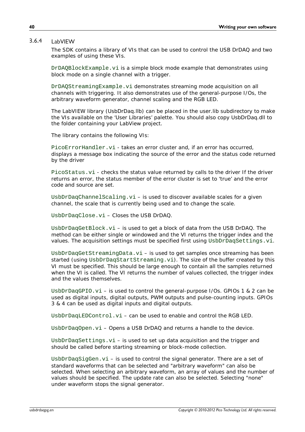#### <span id="page-43-0"></span>3.6.4 LabVIEW

The SDK contains a library of VIs that can be used to control the USB DrDAQ and two examples of using these VIs.

DrDAQBlockExample.vi is a simple block mode example that demonstrates using block mode on a single channel with a trigger.

DrDAQStreamingExample.vi demonstrates streaming mode acquisition on all channels with triggering. It also demonstrates use of the general-purpose I/Os, the arbitrary waveform generator, channel scaling and the RGB LED.

The LabVIEW library (UsbDrDaq.llb) can be placed in the user.lib subdirectory to make the VIs available on the 'User Libraries' palette. You should also copy UsbDrDaq.dll to the folder containing your LabView project.

The library contains the following VIs:

PicoErrorHandler.vi - takes an error cluster and, if an error has occurred, displays a message box indicating the source of the error and the status code returned by the driver

PicoStatus.vi - checks the status value returned by calls to the driver If the driver returns an error, the status member of the error cluster is set to 'true' and the error code and source are set.

 $UsbbrDaqChannelScaling.vi - is used to discover available scales for a given$ channel, the scale that is currently being used and to change the scale.

UsbDrDaqClose.vi – Closes the USB DrDAQ.

UsbDrDaqGetBlock.vi – is used to get a block of data from the USB DrDAQ. The method can be either single or windowed and the VI returns the trigger index and the values. The acquisition settings must be specified first using UsbDrDaqSettings.vi.

 $UsDDrDaqGetStreamingData.vi - is used to get samples once streaming has been$ started (using UsbDrDaqStartStreaming.vi). The size of the buffer created by this VI must be specified. This should be large enough to contain all the samples returned when the VI is called. The VI returns the number of values collected, the trigger index and the values themselves.

UsbDrDaqGPIO.vi – is used to control the general-purpose I/Os. GPIOs 1 & 2 can be used as digital inputs, digital outputs, PWM outputs and pulse-counting inputs. GPIOs 3 & 4 can be used as digital inputs and digital outputs.

 $UsbbrDaqLEDControl.vi - can be used to enable and control the RGB LED.$ 

UsbDrDaqOpen.vi - Opens a USB DrDAQ and returns a handle to the device.

UsbDrDaqSettings.vi – is used to set up data acquisition and the trigger and should be called before starting streaming or block-mode collection.

 $U$ sbDrDaqSigGen.vi – is used to control the signal generator. There are a set of standard waveforms that can be selected and "arbitrary waveform" can also be selected. When selecting an arbitrary waveform, an array of values and the number of values should be specified. The update rate can also be selected. Selecting "none" under waveform stops the signal generator.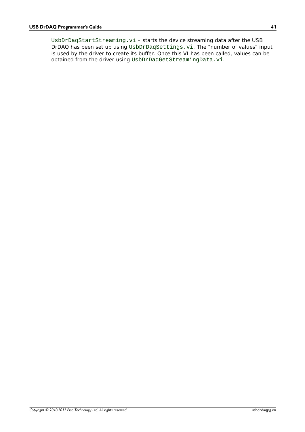UsbDrDaqStartStreaming.vi – starts the device streaming data after the USB DrDAQ has been set up using UsbDrDaqSettings.vi. The "number of values" input is used by the driver to create its buffer. Once this VI has been called, values can be obtained from the driver using UsbDrDaqGetStreamingData.vi.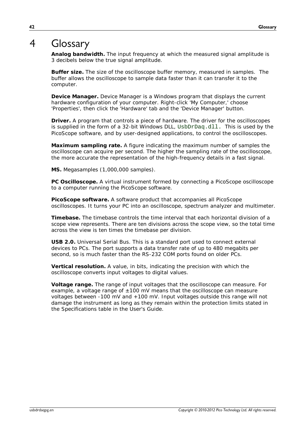# <span id="page-45-0"></span>4 Glossary

**Analog bandwidth.** The input frequency at which the measured signal amplitude is 3 decibels below the true signal amplitude.

**Buffer size.** The size of the oscilloscope buffer memory, measured in samples. The buffer allows the oscilloscope to sample data faster than it can transfer it to the computer.

**Device Manager.** Device Manager is a Windows program that displays the current hardware configuration of your computer. Right-click 'My Computer,' choose 'Properties', then click the 'Hardware' tab and the 'Device Manager' button.

**Driver.** A program that controls a piece of hardware. The driver for the oscilloscopes is supplied in the form of a 32-bit Windows DLL, UsbDrDaq.dll. This is used by the PicoScope software, and by user-designed applications, to control the oscilloscopes.

**Maximum sampling rate.** A figure indicating the maximum number of samples the oscilloscope can acquire per second. The higher the sampling rate of the oscilloscope, the more accurate the representation of the high-frequency details in a fast signal.

**MS.** Megasamples (1,000,000 samples).

**PC Oscilloscope.** A virtual instrument formed by connecting a PicoScope oscilloscope to a computer running the PicoScope software.

**PicoScope software.** A software product that accompanies all PicoScope oscilloscopes. It turns your PC into an oscilloscope, spectrum analyzer and multimeter.

**Timebase.** The timebase controls the time interval that each horizontal division of a scope view represents. There are ten divisions across the scope view, so the total time across the view is ten times the timebase per division.

**USB 2.0.** Universal Serial Bus. This is a standard port used to connect external devices to PCs. The port supports a data transfer rate of up to 480 megabits per second, so is much faster than the RS-232 COM ports found on older PCs.

**Vertical resolution.** A value, in bits, indicating the precision with which the oscilloscope converts input voltages to digital values.

**Voltage range.** The range of input voltages that the oscilloscope can measure. For example, a voltage range of  $\pm 100$  mV means that the oscilloscope can measure voltages between -100 mV and +100 mV. Input voltages outside this range will not damage the instrument as long as they remain within the protection limits stated in the Specifications table in the User's Guide.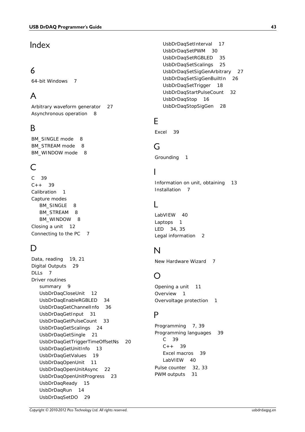### Index

### 6

64-bit Windows 7

# A

Arbitrary waveform generator 27 Asynchronous operation 8

# B<sub>a</sub>

BM\_SINGLE mode 8 BM\_STREAM mode 8 BM\_WINDOW mode 8

# C

C 39  $C++ 39$ Calibration 1 Capture modes BM\_SINGLE 8 BM\_STREAM 8 BM\_WINDOW 8 Closing a unit 12 Connecting to the PC 7

### D<sub>a</sub>

Data, reading 19, 21 Digital Outputs 29 DLLs 7 Driver routines summary 9 UsbDrDaqCloseUnit 12 UsbDrDaqEnableRGBLED 34 UsbDrDaqGetChannelInfo 36 UsbDrDaqGetInput 31 UsbDrDaqGetPulseCount 33 UsbDrDaqGetScalings 24 UsbDrDaqGetSingle 21 UsbDrDaqGetTriggerTimeOffsetNs 20 UsbDrDaqGetUnitInfo 13 UsbDrDaqGetValues 19 UsbDrDaqOpenUnit 11 UsbDrDaqOpenUnitAsync 22 UsbDrDaqOpenUnitProgress 23 UsbDrDaqReady 15 UsbDrDaqRun 14 UsbDrDaqSetDO 29

UsbDrDaqSetInterval 17 UsbDrDaqSetPWM 30 UsbDrDaqSetRGBLED 35 UsbDrDaqSetScalings 25 UsbDrDaqSetSigGenArbitrary 27 UsbDrDaqSetSigGenBuiltIn 26 UsbDrDaqSetTrigger 18 UsbDrDaqStartPulseCount 32 UsbDrDaqStop 16 UsbDrDaqStopSigGen 28

# E

Excel 39

# G

Grounding 1

# I

Information on unit, obtaining 13 Installation 7

# L

LabVIEW 40 Laptops 1 LED 34, 35 Legal information 2

### N

New Hardware Wizard 7

### O

Opening a unit 11 Overview 1 Overvoltage protection 1

# P<sub>p</sub>

Programming 7, 39 Programming languages 39 C 39  $C++ 39$ Excel macros 39 LabVIEW 40 Pulse counter 32, 33 PWM outputs 31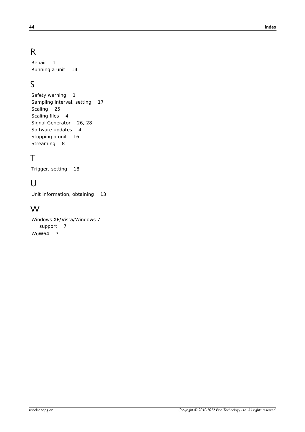# R

Repair 1 Running a unit 14

# S

Safety warning 1 Sampling interval, setting 17 Scaling 25 Scaling files 4 Signal Generator 26, 28 Software updates 4 Stopping a unit 16 Streaming 8

# T<sub>a</sub>

Trigger, setting 18

# U<sub>v</sub>

Unit information, obtaining 13

### W

Windows XP/Vista/Windows 7 support 7 WoW64 7